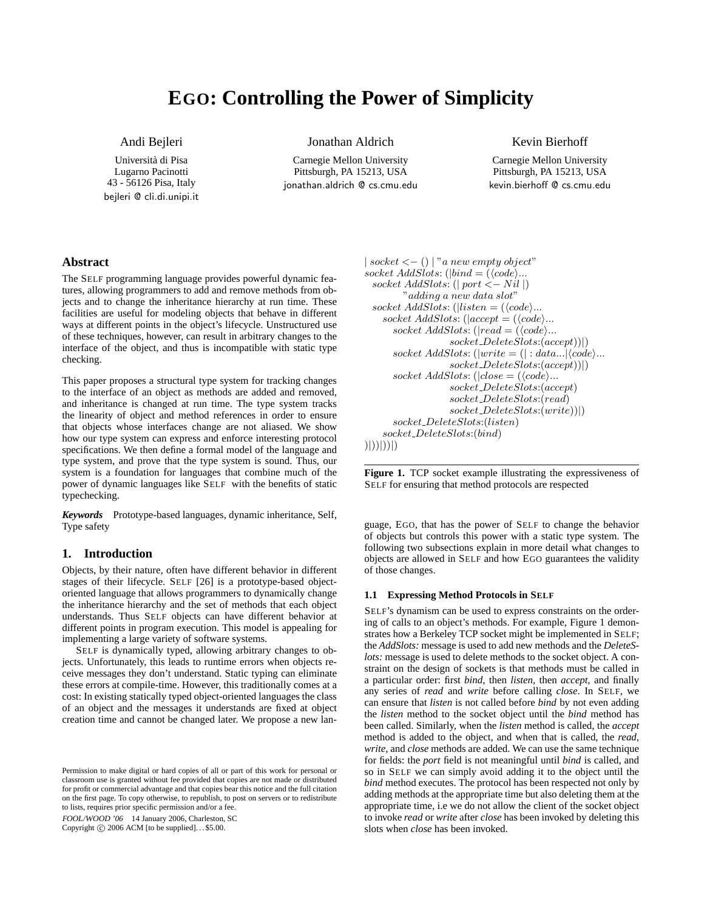# **EGO: Controlling the Power of Simplicity**

Andi Bejleri

Universita di Pisa ` Lugarno Pacinotti 43 - 56126 Pisa, Italy bejleri @ cli.di.unipi.it Jonathan Aldrich

Carnegie Mellon University Pittsburgh, PA 15213, USA jonathan.aldrich @ cs.cmu.edu Kevin Bierhoff

Carnegie Mellon University Pittsburgh, PA 15213, USA kevin.bierhoff @ cs.cmu.edu

# **Abstract**

The SELF programming language provides powerful dynamic features, allowing programmers to add and remove methods from objects and to change the inheritance hierarchy at run time. These facilities are useful for modeling objects that behave in different ways at different points in the object's lifecycle. Unstructured use of these techniques, however, can result in arbitrary changes to the interface of the object, and thus is incompatible with static type checking.

This paper proposes a structural type system for tracking changes to the interface of an object as methods are added and removed, and inheritance is changed at run time. The type system tracks the linearity of object and method references in order to ensure that objects whose interfaces change are not aliased. We show how our type system can express and enforce interesting protocol specifications. We then define a formal model of the language and type system, and prove that the type system is sound. Thus, our system is a foundation for languages that combine much of the power of dynamic languages like SELF with the benefits of static typechecking.

*Keywords* Prototype-based languages, dynamic inheritance, Self, Type safety

## **1. Introduction**

Objects, by their nature, often have different behavior in different stages of their lifecycle. SELF [26] is a prototype-based objectoriented language that allows programmers to dynamically change the inheritance hierarchy and the set of methods that each object understands. Thus SELF objects can have different behavior at different points in program execution. This model is appealing for implementing a large variety of software systems.

SELF is dynamically typed, allowing arbitrary changes to objects. Unfortunately, this leads to runtime errors when objects receive messages they don't understand. Static typing can eliminate these errors at compile-time. However, this traditionally comes at a cost: In existing statically typed object-oriented languages the class of an object and the messages it understands are fixed at object creation time and cannot be changed later. We propose a new lan-

FOOL/WOOD '06 14 January 2006, Charleston, SC Copyright  $\odot$  2006 ACM [to be supplied]... \$5.00.

```
| socket < -() | "a new empty object"sockets\ AddS lots: (|bind = (\langle code \rangle...socket AddSlots: (| port \lt - Nil|)"adding a new data slot"
  socket AddSlots: (|listen = (\langle code \rangle...socket AddSlots: (laccept = (\langle code \rangle...socket AddSlots: (|read = (\langle code \rangle...)
                     socket DeleteSlots:(accept))|)
       socket\ AddS lots: (|write = (| : data...| \langle code \rangle...socket DeleteSlots:(accept))|)
       socket \;AddS lots: (|close = (\langle code \rangle...socket DeleteSlots:(accept)
                     socket DeleteSlots:(read)
                     socket DeleteSlots:(write))|)
       socket DeleteSlots:(listen)
    socket DeleteSlots:(bind)
)|))|))|)
```
**Figure 1.** TCP socket example illustrating the expressiveness of SELF for ensuring that method protocols are respected

guage, EGO, that has the power of SELF to change the behavior of objects but controls this power with a static type system. The following two subsections explain in more detail what changes to objects are allowed in SELF and how EGO guarantees the validity of those changes.

# **1.1 Expressing Method Protocols in SELF**

SELF's dynamism can be used to express constraints on the ordering of calls to an object's methods. For example, Figure 1 demonstrates how a Berkeley TCP socket might be implemented in SELF; the *AddSlots:* message is used to add new methods and the *DeleteSlots:* message is used to delete methods to the socket object. A constraint on the design of sockets is that methods must be called in a particular order: first *bind*, then *listen*, then *accept*, and finally any series of *read* and *write* before calling *close*. In SELF, we can ensure that *listen* is not called before *bind* by not even adding the *listen* method to the socket object until the *bind* method has been called. Similarly, when the *listen* method is called, the *accept* method is added to the object, and when that is called, the *read*, *write*, and *close* methods are added. We can use the same technique for fields: the *port* field is not meaningful until *bind* is called, and so in SELF we can simply avoid adding it to the object until the *bind* method executes. The protocol has been respected not only by adding methods at the appropriate time but also deleting them at the appropriate time, i.e we do not allow the client of the socket object to invoke *read* or *write* after *close* has been invoked by deleting this slots when *close* has been invoked.

Permission to make digital or hard copies of all or part of this work for personal or classroom use is granted without fee provided that copies are not made or distributed for profit or commercial advantage and that copies bear this notice and the full citation on the first page. To copy otherwise, to republish, to post on servers or to redistribute to lists, requires prior specific permission and/or a fee.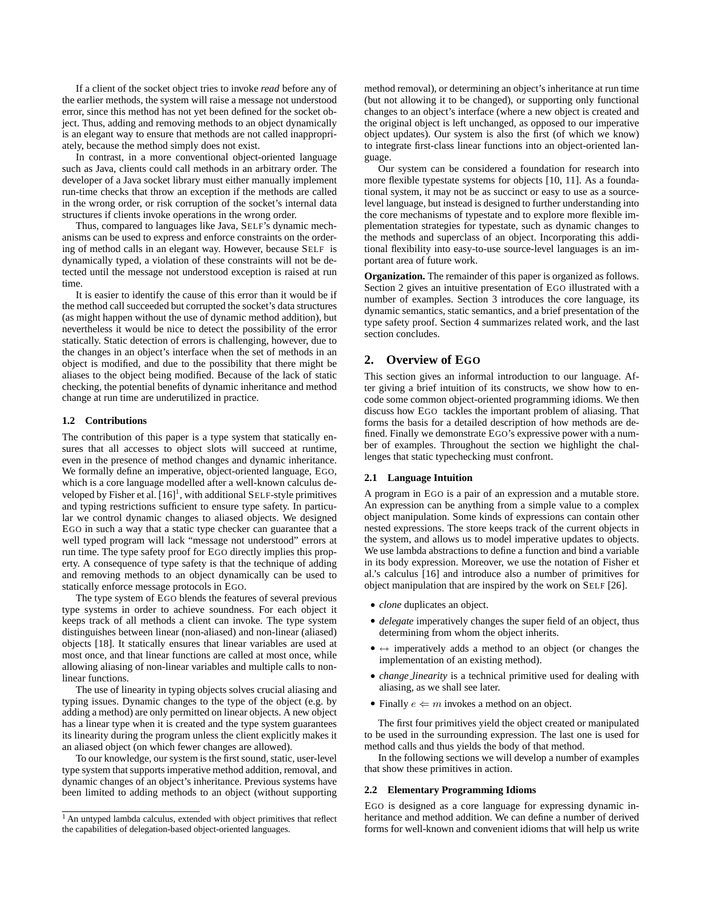If a client of the socket object tries to invoke *read* before any of the earlier methods, the system will raise a message not understood error, since this method has not yet been defined for the socket object. Thus, adding and removing methods to an object dynamically is an elegant way to ensure that methods are not called inappropriately, because the method simply does not exist.

In contrast, in a more conventional object-oriented language such as Java, clients could call methods in an arbitrary order. The developer of a Java socket library must either manually implement run-time checks that throw an exception if the methods are called in the wrong order, or risk corruption of the socket's internal data structures if clients invoke operations in the wrong order.

Thus, compared to languages like Java, SELF's dynamic mechanisms can be used to express and enforce constraints on the ordering of method calls in an elegant way. However, because SELF is dynamically typed, a violation of these constraints will not be detected until the message not understood exception is raised at run time.

It is easier to identify the cause of this error than it would be if the method call succeeded but corrupted the socket's data structures (as might happen without the use of dynamic method addition), but nevertheless it would be nice to detect the possibility of the error statically. Static detection of errors is challenging, however, due to the changes in an object's interface when the set of methods in an object is modified, and due to the possibility that there might be aliases to the object being modified. Because of the lack of static checking, the potential benefits of dynamic inheritance and method change at run time are underutilized in practice.

#### **1.2 Contributions**

The contribution of this paper is a type system that statically ensures that all accesses to object slots will succeed at runtime, even in the presence of method changes and dynamic inheritance. We formally define an imperative, object-oriented language, EGO, which is a core language modelled after a well-known calculus developed by Fisher et al.  $[16]$ <sup>1</sup>, with additional SELF-style primitives and typing restrictions sufficient to ensure type safety. In particular we control dynamic changes to aliased objects. We designed EGO in such a way that a static type checker can guarantee that a well typed program will lack "message not understood" errors at run time. The type safety proof for EGO directly implies this property. A consequence of type safety is that the technique of adding and removing methods to an object dynamically can be used to statically enforce message protocols in EGO.

The type system of EGO blends the features of several previous type systems in order to achieve soundness. For each object it keeps track of all methods a client can invoke. The type system distinguishes between linear (non-aliased) and non-linear (aliased) objects [18]. It statically ensures that linear variables are used at most once, and that linear functions are called at most once, while allowing aliasing of non-linear variables and multiple calls to nonlinear functions.

The use of linearity in typing objects solves crucial aliasing and typing issues. Dynamic changes to the type of the object (e.g. by adding a method) are only permitted on linear objects. A new object has a linear type when it is created and the type system guarantees its linearity during the program unless the client explicitly makes it an aliased object (on which fewer changes are allowed).

To our knowledge, our system is the first sound, static, user-level type system that supports imperative method addition, removal, and dynamic changes of an object's inheritance. Previous systems have been limited to adding methods to an object (without supporting method removal), or determining an object's inheritance at run time (but not allowing it to be changed), or supporting only functional changes to an object's interface (where a new object is created and the original object is left unchanged, as opposed to our imperative object updates). Our system is also the first (of which we know) to integrate first-class linear functions into an object-oriented language.

Our system can be considered a foundation for research into more flexible typestate systems for objects [10, 11]. As a foundational system, it may not be as succinct or easy to use as a sourcelevel language, but instead is designed to further understanding into the core mechanisms of typestate and to explore more flexible implementation strategies for typestate, such as dynamic changes to the methods and superclass of an object. Incorporating this additional flexibility into easy-to-use source-level languages is an important area of future work.

**Organization.** The remainder of this paper is organized as follows. Section 2 gives an intuitive presentation of EGO illustrated with a number of examples. Section 3 introduces the core language, its dynamic semantics, static semantics, and a brief presentation of the type safety proof. Section 4 summarizes related work, and the last section concludes.

# **2. Overview of EGO**

This section gives an informal introduction to our language. After giving a brief intuition of its constructs, we show how to encode some common object-oriented programming idioms. We then discuss how EGO tackles the important problem of aliasing. That forms the basis for a detailed description of how methods are defined. Finally we demonstrate EGO's expressive power with a number of examples. Throughout the section we highlight the challenges that static typechecking must confront.

#### **2.1 Language Intuition**

A program in EGO is a pair of an expression and a mutable store. An expression can be anything from a simple value to a complex object manipulation. Some kinds of expressions can contain other nested expressions. The store keeps track of the current objects in the system, and allows us to model imperative updates to objects. We use lambda abstractions to define a function and bind a variable in its body expression. Moreover, we use the notation of Fisher et al.'s calculus [16] and introduce also a number of primitives for object manipulation that are inspired by the work on SELF [26].

- *clone* duplicates an object.
- *delegate* imperatively changes the super field of an object, thus determining from whom the object inherits.
- 7← imperatively adds a method to an object (or changes the implementation of an existing method).
- *change linearity* is a technical primitive used for dealing with aliasing, as we shall see later.
- Finally  $e \leftarrow m$  invokes a method on an object.

The first four primitives yield the object created or manipulated to be used in the surrounding expression. The last one is used for method calls and thus yields the body of that method.

In the following sections we will develop a number of examples that show these primitives in action.

## **2.2 Elementary Programming Idioms**

EGO is designed as a core language for expressing dynamic inheritance and method addition. We can define a number of derived forms for well-known and convenient idioms that will help us write

<sup>&</sup>lt;sup>1</sup> An untyped lambda calculus, extended with object primitives that reflect the capabilities of delegation-based object-oriented languages.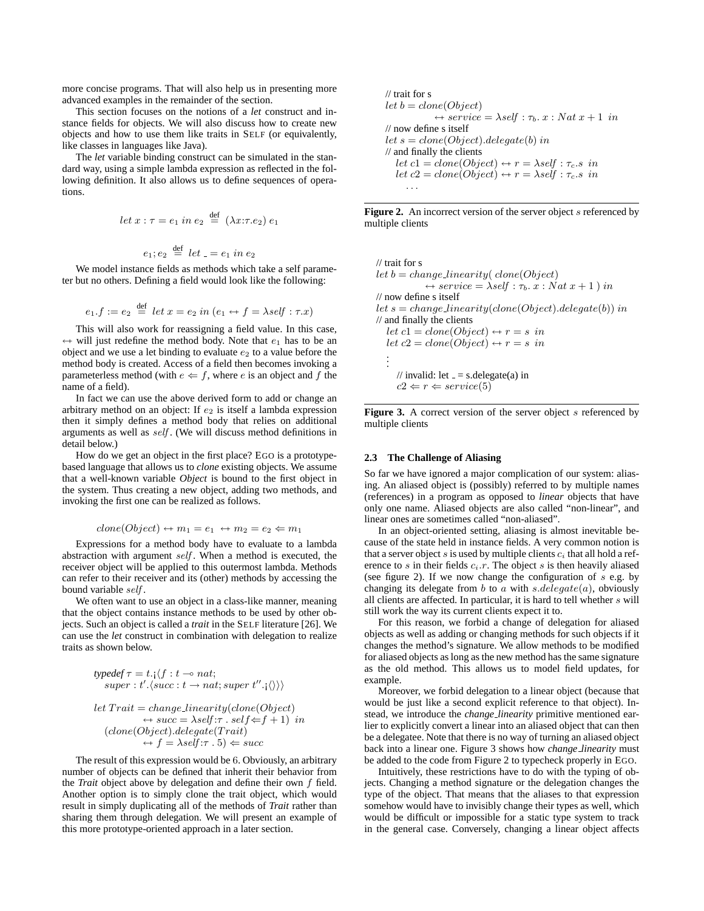more concise programs. That will also help us in presenting more advanced examples in the remainder of the section.

This section focuses on the notions of a *let* construct and instance fields for objects. We will also discuss how to create new objects and how to use them like traits in SELF (or equivalently, like classes in languages like Java).

The *let* variable binding construct can be simulated in the standard way, using a simple lambda expression as reflected in the following definition. It also allows us to define sequences of operations.

$$
let x: \tau = e_1 in e_2 \stackrel{\text{def}}{=} (\lambda x : \tau . e_2) e_1
$$

 $e_1; e_2 \stackrel{\text{def}}{=} let \_ = e_1 \text{ in } e_2$ 

We model instance fields as methods which take a self parameter but no others. Defining a field would look like the following:

$$
e_1.f := e_2 \stackrel{\text{def}}{=} let x = e_2 in (e_1 \leftrightarrow f = \lambda self : \tau.x)
$$

This will also work for reassigning a field value. In this case, ← will just redefine the method body. Note that  $e_1$  has to be an object and we use a let binding to evaluate  $e_2$  to a value before the method body is created. Access of a field then becomes invoking a parameterless method (with  $e \leftarrow f$ , where e is an object and f the name of a field).

In fact we can use the above derived form to add or change an arbitrary method on an object: If  $e_2$  is itself a lambda expression then it simply defines a method body that relies on additional arguments as well as self . (We will discuss method definitions in detail below.)

How do we get an object in the first place? EGO is a prototypebased language that allows us to *clone* existing objects. We assume that a well-known variable *Object* is bound to the first object in the system. Thus creating a new object, adding two methods, and invoking the first one can be realized as follows.

$$
clone(Object) \leftrightarrow m_1 = e_1 \leftrightarrow m_2 = e_2 \Leftarrow m_1
$$

Expressions for a method body have to evaluate to a lambda abstraction with argument self. When a method is executed, the receiver object will be applied to this outermost lambda. Methods can refer to their receiver and its (other) methods by accessing the bound variable self .

We often want to use an object in a class-like manner, meaning that the object contains instance methods to be used by other objects. Such an object is called a *trait* in the SELF literature [26]. We can use the *let* construct in combination with delegation to realize traits as shown below.

$$
type def \tau = t. \langle f : t \neg on \text{at};
$$
  
\n
$$
super : t'. \langle succ : t \rightarrow nat; super t''. \rangle \rangle \rangle
$$
  
\nlet 
$$
Train = change\_linearity(clone(Object) \leftrightarrow succ = \lambda self : \tau . self \Leftarrow f + 1) in
$$
  
\n
$$
(clone(Object).delegate(Train) \leftrightarrow f = \lambda self : \tau . 5) \Leftarrow succ
$$

The result of this expression would be 6. Obviously, an arbitrary number of objects can be defined that inherit their behavior from the *Trait* object above by delegation and define their own f field. Another option is to simply clone the trait object, which would result in simply duplicating all of the methods of *Trait* rather than sharing them through delegation. We will present an example of this more prototype-oriented approach in a later section.

// trait for s  
\nlet b = clone(Object)  
\n
$$
+ service = \lambda self : \tau_b. x : Nat x + 1 in
$$
\n// now define s itself  
\nlet s = clone(Object).deigate(b) in  
\n// and finally the clients  
\nlet c1 = clone(Object) ← r = \lambda self : \tau\_c.s in  
\nlet c2 = clone(Object) ← r = \lambda self : \tau\_c.s in

**Figure 2.** An incorrect version of the server object s referenced by multiple clients

// trait for s let b = change linearity( clone(Object) 7← service = λself : τb. x : N at x + 1 ) in // now define s itself let s = change linearity(clone(Object).delegate(b)) in // and finally the clients let c1 = clone(Object) 7← r = s in let c2 = clone(Object) 7← r = s in . . . // invalid: let = s.delegate(a) in c2 ⇐ r ⇐ service(5)

Figure 3. A correct version of the server object s referenced by multiple clients

#### **2.3 The Challenge of Aliasing**

. . .

So far we have ignored a major complication of our system: aliasing. An aliased object is (possibly) referred to by multiple names (references) in a program as opposed to *linear* objects that have only one name. Aliased objects are also called "non-linear", and linear ones are sometimes called "non-aliased".

In an object-oriented setting, aliasing is almost inevitable because of the state held in instance fields. A very common notion is that a server object s is used by multiple clients  $c_i$  that all hold a reference to  $s$  in their fields  $c_i.r$ . The object  $s$  is then heavily aliased (see figure 2). If we now change the configuration of  $s$  e.g. by changing its delegate from  $b$  to  $a$  with  $s$ .  $delegate(a)$ , obviously all clients are affected. In particular, it is hard to tell whether s will still work the way its current clients expect it to.

For this reason, we forbid a change of delegation for aliased objects as well as adding or changing methods for such objects if it changes the method's signature. We allow methods to be modified for aliased objects as long as the new method has the same signature as the old method. This allows us to model field updates, for example.

Moreover, we forbid delegation to a linear object (because that would be just like a second explicit reference to that object). Instead, we introduce the *change linearity* primitive mentioned earlier to explicitly convert a linear into an aliased object that can then be a delegatee. Note that there is no way of turning an aliased object back into a linear one. Figure 3 shows how *change linearity* must be added to the code from Figure 2 to typecheck properly in EGO.

Intuitively, these restrictions have to do with the typing of objects. Changing a method signature or the delegation changes the type of the object. That means that the aliases to that expression somehow would have to invisibly change their types as well, which would be difficult or impossible for a static type system to track in the general case. Conversely, changing a linear object affects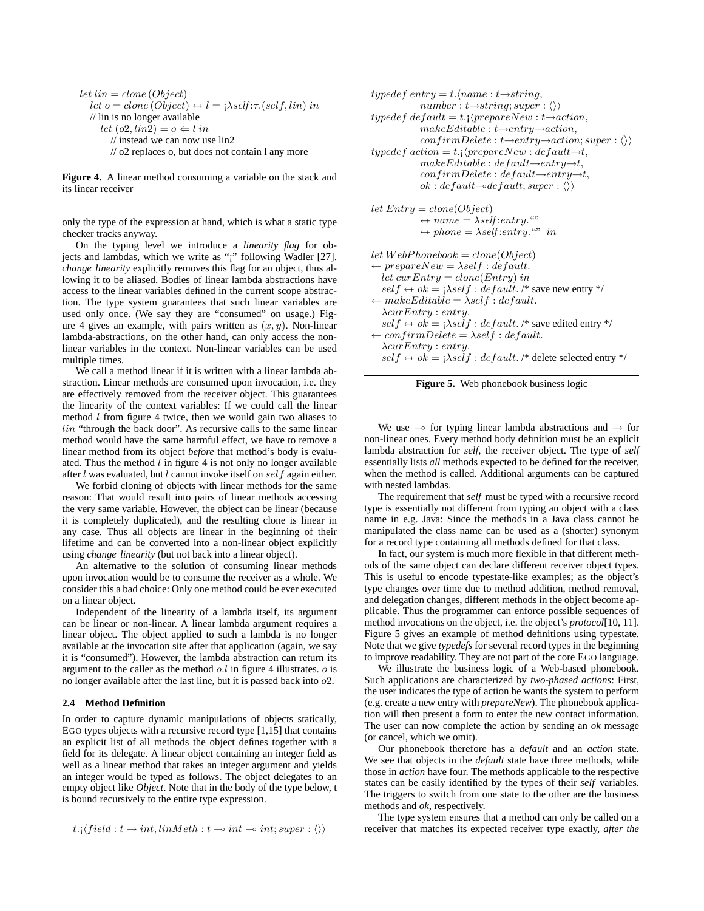let 
$$
lin = clone (Object)
$$
  
\nlet  $o = clone (Object) \leftrightarrow l = i\lambda self : \tau. (self, lin) in$   
\n// lin is no longer available  
\nlet  $(o2, lin2) = o \Leftarrow l in$   
\n// instead we can now use lin2  
\n// o2 replaces o, but does not contain l any more

**Figure 4.** A linear method consuming a variable on the stack and its linear receiver

only the type of the expression at hand, which is what a static type checker tracks anyway.

On the typing level we introduce a *linearity flag* for objects and lambdas, which we write as "¡" following Wadler [27]. *change linearity* explicitly removes this flag for an object, thus allowing it to be aliased. Bodies of linear lambda abstractions have access to the linear variables defined in the current scope abstraction. The type system guarantees that such linear variables are used only once. (We say they are "consumed" on usage.) Figure 4 gives an example, with pairs written as  $(x, y)$ . Non-linear lambda-abstractions, on the other hand, can only access the nonlinear variables in the context. Non-linear variables can be used multiple times.

We call a method linear if it is written with a linear lambda abstraction. Linear methods are consumed upon invocation, i.e. they are effectively removed from the receiver object. This guarantees the linearity of the context variables: If we could call the linear method  $l$  from figure 4 twice, then we would gain two aliases to lin "through the back door". As recursive calls to the same linear method would have the same harmful effect, we have to remove a linear method from its object *before* that method's body is evaluated. Thus the method  $l$  in figure 4 is not only no longer available after  $l$  was evaluated, but  $l$  cannot invoke itself on  $self$  again either.

We forbid cloning of objects with linear methods for the same reason: That would result into pairs of linear methods accessing the very same variable. However, the object can be linear (because it is completely duplicated), and the resulting clone is linear in any case. Thus all objects are linear in the beginning of their lifetime and can be converted into a non-linear object explicitly using *change linearity* (but not back into a linear object).

An alternative to the solution of consuming linear methods upon invocation would be to consume the receiver as a whole. We consider this a bad choice: Only one method could be ever executed on a linear object.

Independent of the linearity of a lambda itself, its argument can be linear or non-linear. A linear lambda argument requires a linear object. The object applied to such a lambda is no longer available at the invocation site after that application (again, we say it is "consumed"). However, the lambda abstraction can return its argument to the caller as the method  $o.l$  in figure 4 illustrates.  $o$  is no longer available after the last line, but it is passed back into o2.

## **2.4 Method Definition**

In order to capture dynamic manipulations of objects statically, EGO types objects with a recursive record type [1,15] that contains an explicit list of all methods the object defines together with a field for its delegate. A linear object containing an integer field as well as a linear method that takes an integer argument and yields an integer would be typed as follows. The object delegates to an empty object like *Object*. Note that in the body of the type below, t is bound recursively to the entire type expression.

$$
t.\cdot \setminus field: t \to int, linMeth: t \to int \to int; super: \langle \rangle
$$

$$
type def entry = t.\langle name : t \rightarrow string,
$$
\n
$$
number : t \rightarrow string; super : \langle \rangle \rangle
$$
\n
$$
type def default = t. \langle (prepareNew : t \rightarrow action, makeEditable : t \rightarrow entry \rightarrow action, \\ confirmDelete : t \rightarrow entry \rightarrow action; super : \langle \rangle \rangle
$$
\n
$$
type def action = t. \langle (prepareNew : default \rightarrow t, \\ makeEditable : default \rightarrow entry \rightarrow t, \\ confirmDelete : default \rightarrow entry \rightarrow t, \\ ok : default \rightarrow default, super : \langle \rangle \rangle
$$
\n
$$
let Entry = clone(Object) \leftrightarrow name = \lambda self: entry \cdots \leftrightarrow phone = \lambda self: entry \cdots \text{ in}
$$
\n
$$
let WebPhonebook = clone(Object) \leftrightarrow prepareNew = \lambda self : default.
$$
\n
$$
let curEntry = clone(Entry) in
$$
\n
$$
self \leftrightarrow ok = \lambda self : default \cdot \text{ * save new entry *} \land \text{ * makeEditable = \lambda self : default \cdot \text{ * save edited entry *} \land \text{ * } marker = \lambda self : default \cdot \text{ * } add \cdot t \rightarrow \text{ * } add \cdot t \rightarrow \text{ * } add \cdot t \rightarrow \text{ * } add \cdot t \rightarrow \text{ * } add \cdot t \rightarrow \text{ * } add \cdot t \rightarrow \text{ * } add \cdot t \rightarrow \text{ * } add \cdot t \rightarrow \text{ * } add \cdot t \rightarrow \text{ * } add \cdot t \rightarrow \text{ * } add \cdot t \rightarrow \text{ * } add \cdot t \rightarrow \text{ * } add \cdot t \rightarrow \text{ * } add \cdot t \rightarrow \text{ * } add \cdot t \rightarrow \text{ * } add \cdot t \rightarrow \text{ * } add \cdot t \rightarrow \text{ * } add \cdot t \rightarrow \text{ * } add \cdot t \rightarrow \text{ * } add \cdot t \rightarrow \text{ * } add \cdot t \rightarrow \text{ * } add \cdot t \rightarrow \text{ * } add \cdot t \rightarrow \text{ * } add \cdot t \rightarrow \text{ * } add \cdot t \rightarrow \text{ * } add \cdot t \rightarrow \text{ * } add \cdot t \rightarrow \text{ * } add \cdot t \rightarrow \text{ * } add \cdot t \rightarrow \text{ * } add \cdot t \rightarrow \text{ * } add \cdot t \rightarrow \text{ * } add \cdot t \rightarrow \text{ * } add \cdot t \rightarrow \text{ * } add \cdot t \rightarrow \text{ * } add \cdot t \rightarrow \text{ * } add \cdot t \rightarrow \text{ * } add \cdot t \rightarrow \text{ * } add \cdot t \rightarrow \text{ *
$$



We use  $\sim$  for typing linear lambda abstractions and  $\rightarrow$  for non-linear ones. Every method body definition must be an explicit lambda abstraction for *self*, the receiver object. The type of *self* essentially lists *all* methods expected to be defined for the receiver, when the method is called. Additional arguments can be captured with nested lambdas.

The requirement that *self* must be typed with a recursive record type is essentially not different from typing an object with a class name in e.g. Java: Since the methods in a Java class cannot be manipulated the class name can be used as a (shorter) synonym for a record type containing all methods defined for that class.

In fact, our system is much more flexible in that different methods of the same object can declare different receiver object types. This is useful to encode typestate-like examples; as the object's type changes over time due to method addition, method removal, and delegation changes, different methods in the object become applicable. Thus the programmer can enforce possible sequences of method invocations on the object, i.e. the object's *protocol*[10, 11]. Figure 5 gives an example of method definitions using typestate. Note that we give *typedefs* for several record types in the beginning to improve readability. They are not part of the core EGO language.

We illustrate the business logic of a Web-based phonebook. Such applications are characterized by *two-phased actions*: First, the user indicates the type of action he wants the system to perform (e.g. create a new entry with *prepareNew*). The phonebook application will then present a form to enter the new contact information. The user can now complete the action by sending an *ok* message (or cancel, which we omit).

Our phonebook therefore has a *default* and an *action* state. We see that objects in the *default* state have three methods, while those in *action* have four. The methods applicable to the respective states can be easily identified by the types of their *self* variables. The triggers to switch from one state to the other are the business methods and *ok*, respectively.

The type system ensures that a method can only be called on a receiver that matches its expected receiver type exactly, *after the*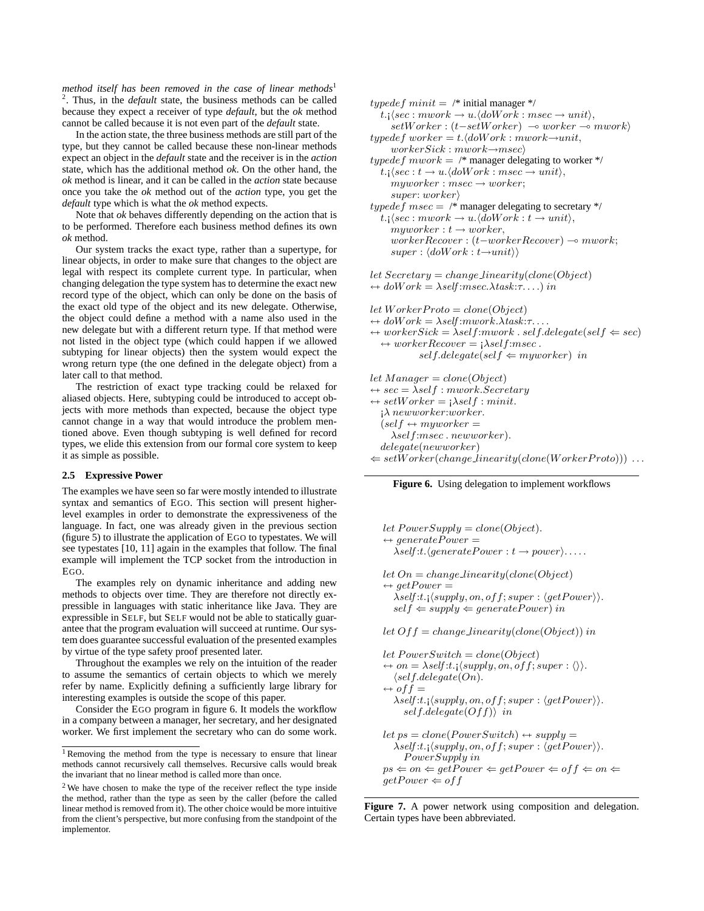*method itself has been removed in the case of linear methods*<sup>1</sup> 2 . Thus, in the *default* state, the business methods can be called because they expect a receiver of type *default*, but the *ok* method cannot be called because it is not even part of the *default* state.

In the action state, the three business methods are still part of the type, but they cannot be called because these non-linear methods expect an object in the *default* state and the receiver is in the *action* state, which has the additional method *ok*. On the other hand, the *ok* method is linear, and it can be called in the *action* state because once you take the *ok* method out of the *action* type, you get the *default* type which is what the *ok* method expects.

Note that *ok* behaves differently depending on the action that is to be performed. Therefore each business method defines its own *ok* method.

Our system tracks the exact type, rather than a supertype, for linear objects, in order to make sure that changes to the object are legal with respect its complete current type. In particular, when changing delegation the type system has to determine the exact new record type of the object, which can only be done on the basis of the exact old type of the object and its new delegate. Otherwise, the object could define a method with a name also used in the new delegate but with a different return type. If that method were not listed in the object type (which could happen if we allowed subtyping for linear objects) then the system would expect the wrong return type (the one defined in the delegate object) from a later call to that method.

The restriction of exact type tracking could be relaxed for aliased objects. Here, subtyping could be introduced to accept objects with more methods than expected, because the object type cannot change in a way that would introduce the problem mentioned above. Even though subtyping is well defined for record types, we elide this extension from our formal core system to keep it as simple as possible.

## **2.5 Expressive Power**

The examples we have seen so far were mostly intended to illustrate syntax and semantics of EGO. This section will present higherlevel examples in order to demonstrate the expressiveness of the language. In fact, one was already given in the previous section (figure 5) to illustrate the application of EGO to typestates. We will see typestates [10, 11] again in the examples that follow. The final example will implement the TCP socket from the introduction in EGO.

The examples rely on dynamic inheritance and adding new methods to objects over time. They are therefore not directly expressible in languages with static inheritance like Java. They are expressible in SELF, but SELF would not be able to statically guarantee that the program evaluation will succeed at runtime. Our system does guarantee successful evaluation of the presented examples by virtue of the type safety proof presented later.

Throughout the examples we rely on the intuition of the reader to assume the semantics of certain objects to which we merely refer by name. Explicitly defining a sufficiently large library for interesting examples is outside the scope of this paper.

Consider the EGO program in figure 6. It models the workflow in a company between a manager, her secretary, and her designated worker. We first implement the secretary who can do some work.

```
typedef minit = /* initial manager */
   t.; \langle sec : mwork \rightarrow u. \langle doWork : msec \rightarrow unit \rangle,setWorker : (t-setWorker) \rightarrow worker \rightarrow mworktypedef worker = t.\langle doWork : mwork \rightarrow unit,workersick: mwork \rightarrow msectypedef mwork = /* manager delegating to worker */
   t.; \langle sec : t \rightarrow u. \langle doWork : msec \rightarrow unit \rangle,
     myworker : msec \rightarrow worker;super: worker\rangletypedef msec = \frac{1}{2} manager delegating to secretary \frac{k}{2}t.; \langle sec : mwork \rightarrow u. \langle doWork : t \rightarrow unit \rangle,
      myworker : t \rightarrow workerworkerRecover : (t−workerRecover) ⊸ mwork;
      super : \langle doWork : t \rightarrow unit \rangle\ranglelet Secretary = change\_linearity(clone(Object))\leftrightarrow doW ork = \lambdaself:msec.\lambdatask:\tau....) in
let \text{Worker}Proto = clone(Object)\leftrightarrow doW ork = \lambdaself :mwork.\lambdatask:\tau..
\leftrightarrow workerSick = \lambdaself:mwork . self.delegate(self \Leftarrow sec)
   \leftrightarrow workerRecover = i\lambda self:msec.self.delegate(self \Leftarrow myworker) in
let Manager = clone(Object)\leftrightarrow \textit{sec} = \lambda \textit{self} : \textit{mwork} . \textit{Secretary}\leftrightarrow setW or ker = \mathsf{i}\lambda self : minit.\lambda newworker:worker.
   (self \leftarrow myworker =λself:msec . newworker).
```
**Figure 6.** Using delegation to implement workflows

 $\Leftarrow setWorker(charqe\ linearity(clone(WorkerProto)))$ ...

delegate(newworker)

```
let PowerSupply = clone(Object).
\leftrightarrow generatePower =
   \lambdaself :t.\langle generate Power : t \rightarrow power \rangle....
let On = change\_linearity(clone(Object)\leftrightarrow getPower =
   \lambdaself:t.;\langle supply, on, off; super : \langle getPower \rangle.
   self \Leftarrow supply \Leftarrow generatePower) inlet Off = change\,Linearity(clone(Object)) in
let PowerSwitch = clone(Object)\leftrightarrow on = \lambdaself:t.;\langle supply, on, off; super : \langle \rangle.
   \langle self.delegate(On).\leftrightarrow of f =\lambda self:t.; \langle supply, on, off; super : \langle getPower \rangle.
      self.delegate(Off) in
let ps = clone(PowerSwitch) \leftrightarrow supply =\lambdaself:t.;\langle supply, on, off; super : \langle getPower \rangle.
      PowerSupply in
ps \Leftarrow on \Leftarrow getPower \Leftarrow getPower \Leftarrow off \Leftarrow on \LeftarrowgetPower \Leftarrow off
```
Figure 7. A power network using composition and delegation. Certain types have been abbreviated.

 $1$  Removing the method from the type is necessary to ensure that linear methods cannot recursively call themselves. Recursive calls would break the invariant that no linear method is called more than once.

<sup>&</sup>lt;sup>2</sup> We have chosen to make the type of the receiver reflect the type inside the method, rather than the type as seen by the caller (before the called linear method is removed from it). The other choice would be more intuitive from the client's perspective, but more confusing from the standpoint of the implementor.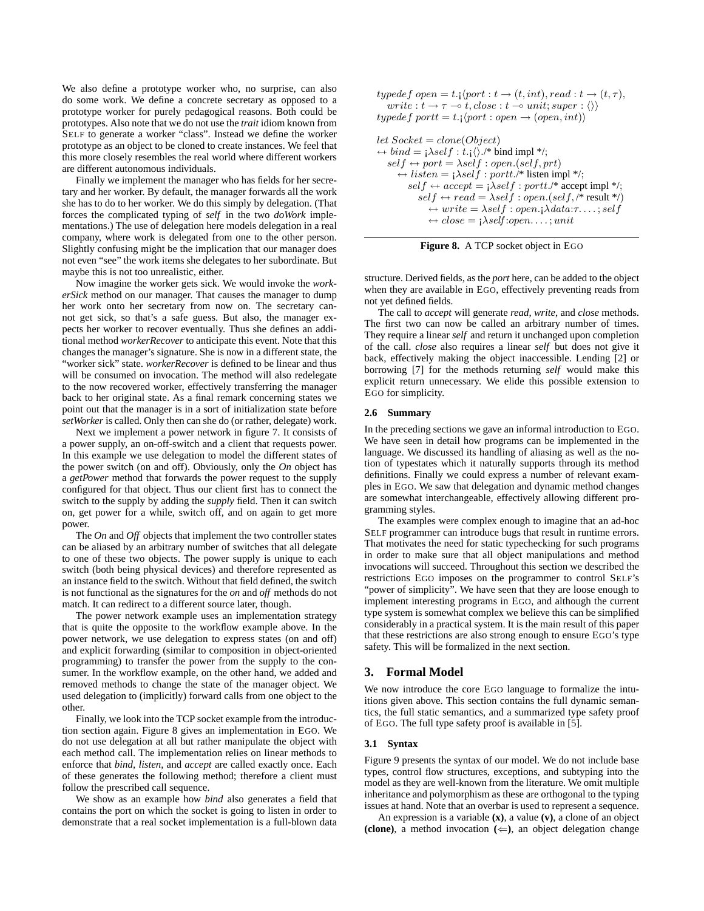We also define a prototype worker who, no surprise, can also do some work. We define a concrete secretary as opposed to a prototype worker for purely pedagogical reasons. Both could be prototypes. Also note that we do not use the *trait* idiom known from SELF to generate a worker "class". Instead we define the worker prototype as an object to be cloned to create instances. We feel that this more closely resembles the real world where different workers are different autonomous individuals.

Finally we implement the manager who has fields for her secretary and her worker. By default, the manager forwards all the work she has to do to her worker. We do this simply by delegation. (That forces the complicated typing of *self* in the two *doWork* implementations.) The use of delegation here models delegation in a real company, where work is delegated from one to the other person. Slightly confusing might be the implication that our manager does not even "see" the work items she delegates to her subordinate. But maybe this is not too unrealistic, either.

Now imagine the worker gets sick. We would invoke the *workerSick* method on our manager. That causes the manager to dump her work onto her secretary from now on. The secretary cannot get sick, so that's a safe guess. But also, the manager expects her worker to recover eventually. Thus she defines an additional method *workerRecover* to anticipate this event. Note that this changes the manager's signature. She is now in a different state, the "worker sick" state. *workerRecover* is defined to be linear and thus will be consumed on invocation. The method will also redelegate to the now recovered worker, effectively transferring the manager back to her original state. As a final remark concerning states we point out that the manager is in a sort of initialization state before *setWorker* is called. Only then can she do (or rather, delegate) work.

Next we implement a power network in figure 7. It consists of a power supply, an on-off-switch and a client that requests power. In this example we use delegation to model the different states of the power switch (on and off). Obviously, only the *On* object has a *getPower* method that forwards the power request to the supply configured for that object. Thus our client first has to connect the switch to the supply by adding the *supply* field. Then it can switch on, get power for a while, switch off, and on again to get more power.

The *On* and *Off* objects that implement the two controller states can be aliased by an arbitrary number of switches that all delegate to one of these two objects. The power supply is unique to each switch (both being physical devices) and therefore represented as an instance field to the switch. Without that field defined, the switch is not functional as the signatures for the *on* and *off* methods do not match. It can redirect to a different source later, though.

The power network example uses an implementation strategy that is quite the opposite to the workflow example above. In the power network, we use delegation to express states (on and off) and explicit forwarding (similar to composition in object-oriented programming) to transfer the power from the supply to the consumer. In the workflow example, on the other hand, we added and removed methods to change the state of the manager object. We used delegation to (implicitly) forward calls from one object to the other.

Finally, we look into the TCP socket example from the introduction section again. Figure 8 gives an implementation in EGO. We do not use delegation at all but rather manipulate the object with each method call. The implementation relies on linear methods to enforce that *bind*, *listen*, and *accept* are called exactly once. Each of these generates the following method; therefore a client must follow the prescribed call sequence.

We show as an example how *bind* also generates a field that contains the port on which the socket is going to listen in order to demonstrate that a real socket implementation is a full-blown data typedef open = t.;  $\langle$  port :  $t \rightarrow (t, int)$ , read :  $t \rightarrow (t, \tau)$ , write :  $t \to \tau \to t$ , close :  $t \to unit$ ; super :  $\langle \rangle$ ) typedef portt = t.;  $\langle port : open \rightarrow (open, int) \rangle$ 

```
let Sockets = clone(Object)\leftrightarrow bind = i\lambda self : t_i\langle\rangle./* bind impl */;
   self \leftarrow port = \lambda self : open.(self, prt)\leftrightarrow listen = i\lambdaself : portt./* listen impl */;
          self \leftrightarrow accept = j\lambda self : portt.'^* accept impl */;
              self \leftarrow read = \lambda self : open.(self, /* result *')\leftrightarrow write = \lambdaself : open.;\lambdadata:\tau...; self
                  \leftrightarrow close = \mathsf{i}\lambda \mathsf{self} : open \dots; unit
```


structure. Derived fields, as the *port* here, can be added to the object when they are available in EGO, effectively preventing reads from not yet defined fields.

The call to *accept* will generate *read*, *write*, and *close* methods. The first two can now be called an arbitrary number of times. They require a linear *self* and return it unchanged upon completion of the call. *close* also requires a linear *self* but does not give it back, effectively making the object inaccessible. Lending [2] or borrowing [7] for the methods returning *self* would make this explicit return unnecessary. We elide this possible extension to EGO for simplicity.

#### **2.6 Summary**

In the preceding sections we gave an informal introduction to EGO. We have seen in detail how programs can be implemented in the language. We discussed its handling of aliasing as well as the notion of typestates which it naturally supports through its method definitions. Finally we could express a number of relevant examples in EGO. We saw that delegation and dynamic method changes are somewhat interchangeable, effectively allowing different programming styles.

The examples were complex enough to imagine that an ad-hoc SELF programmer can introduce bugs that result in runtime errors. That motivates the need for static typechecking for such programs in order to make sure that all object manipulations and method invocations will succeed. Throughout this section we described the restrictions EGO imposes on the programmer to control SELF's "power of simplicity". We have seen that they are loose enough to implement interesting programs in EGO, and although the current type system is somewhat complex we believe this can be simplified considerably in a practical system. It is the main result of this paper that these restrictions are also strong enough to ensure EGO's type safety. This will be formalized in the next section.

## **3. Formal Model**

We now introduce the core EGO language to formalize the intuitions given above. This section contains the full dynamic semantics, the full static semantics, and a summarized type safety proof of EGO. The full type safety proof is available in [5].

#### **3.1 Syntax**

Figure 9 presents the syntax of our model. We do not include base types, control flow structures, exceptions, and subtyping into the model as they are well-known from the literature. We omit multiple inheritance and polymorphism as these are orthogonal to the typing issues at hand. Note that an overbar is used to represent a sequence.

An expression is a variable **(x)**, a value **(v)**, a clone of an object **(clone)**, a method invocation  $(\Leftarrow)$ , an object delegation change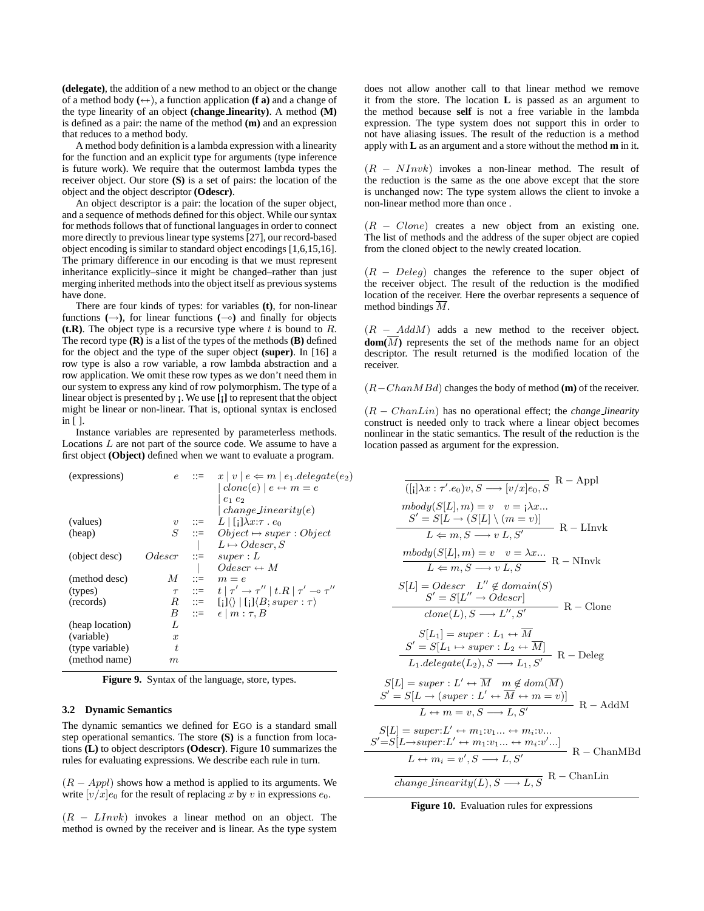**(delegate)**, the addition of a new method to an object or the change of a method body  $(\leftrightarrow)$ , a function application **(f a)** and a change of the type linearity of an object **(change linearity)**. A method **(M)** is defined as a pair: the name of the method **(m)** and an expression that reduces to a method body.

A method body definition is a lambda expression with a linearity for the function and an explicit type for arguments (type inference is future work). We require that the outermost lambda types the receiver object. Our store **(S)** is a set of pairs: the location of the object and the object descriptor **(Odescr)**.

An object descriptor is a pair: the location of the super object, and a sequence of methods defined for this object. While our syntax for methods follows that of functional languages in order to connect more directly to previous linear type systems [27], our record-based object encoding is similar to standard object encodings [1,6,15,16]. The primary difference in our encoding is that we must represent inheritance explicitly–since it might be changed–rather than just merging inherited methods into the object itself as previous systems have done.

There are four kinds of types: for variables **(t)**, for non-linear functions  $(\rightarrow)$ , for linear functions  $(\rightarrow)$  and finally for objects ( $t \cdot \mathbf{R}$ ). The object type is a recursive type where t is bound to  $R$ . The record type **(R)** is a list of the types of the methods **(B)** defined for the object and the type of the super object **(super)**. In [16] a row type is also a row variable, a row lambda abstraction and a row application. We omit these row types as we don't need them in our system to express any kind of row polymorphism. The type of a linear object is presented by **¡**. We use **[¡]** to represent that the object might be linear or non-linear. That is, optional syntax is enclosed in [ ].

Instance variables are represented by parameterless methods. Locations  $L$  are not part of the source code. We assume to have a first object **(Object)** defined when we want to evaluate a program.

| (expressions)   |                  |                           | $e$ ::= $x   v   e \Leftarrow m   e_1$ .delegate $(e_2)$                   |
|-----------------|------------------|---------------------------|----------------------------------------------------------------------------|
|                 |                  |                           | $clone(e)   e \leftrightarrow m = e$                                       |
|                 |                  |                           | $e_1e_2$                                                                   |
|                 |                  |                           | $change\ linearity(e)$                                                     |
| (values)        |                  |                           | $v$ ::= $L \mid [\cdot] \lambda x : \tau \cdot e_0$                        |
| (heap)          |                  |                           | $S$ ::= $Object \mapsto super:Object$                                      |
|                 |                  |                           | $L \mapsto O$ descr, S                                                     |
| (object desc)   | $Odescr$ ::=     |                           | super: L                                                                   |
|                 |                  |                           | $Odescr \nleftrightarrow M$                                                |
| (method desc)   | M                | $\mathbf{C} = \mathbf{C}$ | $m = e$                                                                    |
| (types)         |                  |                           | $\tau$ ::= $t   \tau' \rightarrow \tau''   t.R   \tau' \rightarrow \tau''$ |
| (records)       |                  |                           | $R$ ::= $[i] \langle\rangle   [i] \langle B; super : \tau \rangle$         |
|                 | B                |                           | $\equiv$ $\epsilon \mid m : \tau, B$                                       |
| (heap location) | L                |                           |                                                                            |
| (variable)      | $\boldsymbol{x}$ |                           |                                                                            |
| (type variable) | t.               |                           |                                                                            |
| (method name)   | m                |                           |                                                                            |
|                 |                  |                           |                                                                            |

**Figure 9.** Syntax of the language, store, types.

### **3.2 Dynamic Semantics**

The dynamic semantics we defined for EGO is a standard small step operational semantics. The store **(S)** is a function from locations **(L)** to object descriptors **(Odescr)**. Figure 10 summarizes the rules for evaluating expressions. We describe each rule in turn.

 $(R - Appl)$  shows how a method is applied to its arguments. We write  $[v/x]_{e0}$  for the result of replacing x by v in expressions  $e_0$ .

 $(R - LInvk)$  invokes a linear method on an object. The method is owned by the receiver and is linear. As the type system does not allow another call to that linear method we remove it from the store. The location **L** is passed as an argument to the method because **self** is not a free variable in the lambda expression. The type system does not support this in order to not have aliasing issues. The result of the reduction is a method apply with **L** as an argument and a store without the method **m** in it.

 $(R - NInvk)$  invokes a non-linear method. The result of the reduction is the same as the one above except that the store is unchanged now: The type system allows the client to invoke a non-linear method more than once .

 $(R - Clone)$  creates a new object from an existing one. The list of methods and the address of the super object are copied from the cloned object to the newly created location.

 $(R - Deleg)$  changes the reference to the super object of the receiver object. The result of the reduction is the modified location of the receiver. Here the overbar represents a sequence of method bindings M.

 $(R - AddM)$  adds a new method to the receiver object. **dom(**M**)** represents the set of the methods name for an object descriptor. The result returned is the modified location of the receiver.

(R−ChanMBd) changes the body of method **(m)** of the receiver.

(R − ChanLin) has no operational effect; the *change linearity* construct is needed only to track where a linear object becomes nonlinear in the static semantics. The result of the reduction is the location passed as argument for the expression.

$$
\frac{\overline{(|i|}\lambda x : \tau'.e_0)v, S \longrightarrow [v/x]e_0, S}{\overline{(|i|}\lambda m) = v} \quad v = i\lambda x...
$$
\n
$$
\frac{S' = S[L \rightarrow (S[L] \setminus (m = v)]}{L \leftarrow m, S \longrightarrow v \ L, S'} \quad R - \text{LInvk}
$$
\n
$$
\frac{mbody(S[L], m) = v \quad v = \lambda x...}{L \leftarrow m, S \longrightarrow v \ L, S} \quad R - \text{NInvk}
$$
\n
$$
S[L] = Odescr \quad L'' \notin domain(S)
$$
\n
$$
S' = S[L'' \rightarrow Odescr]
$$
\n
$$
clone(L), S \longrightarrow L'', S' \quad R - \text{Clone}
$$
\n
$$
S[L_1] = super : L_1 \leftrightarrow \overline{M}
$$
\n
$$
S' = S[L_1 \mapsto super : L_2 \leftrightarrow \overline{M}] \quad R - \text{Deleg}
$$
\n
$$
S[L] = super : L' \leftrightarrow \overline{M} \quad m \notin dom(\overline{M})
$$
\n
$$
S'[L] = super : L' \leftrightarrow \overline{M} \quad m \notin dom(\overline{M})
$$
\n
$$
S'[L] = super : L' \leftrightarrow \overline{M} \leftrightarrow m = v]
$$
\n
$$
L \leftrightarrow m = v, S \longrightarrow L, S'
$$
\n
$$
S[L] = super:L' \leftrightarrow m_1: v_1... \leftrightarrow m_i: v_1...
$$
\n
$$
= S[L \rightarrow super:L' \leftrightarrow m_1: v_1... \leftrightarrow m_i: v'_1...]
$$
\n
$$
R - \text{AddM}
$$

$$
S[L] = super:L' \leftrightarrow m_1: v_1... \leftrightarrow m_i: v...
$$
  
\n
$$
S' = S[L \rightarrow super:L' \leftrightarrow m_1: v_1... \leftrightarrow m_i: v'...]
$$
  
\n
$$
L \leftrightarrow m_i = v', S \longrightarrow L, S'
$$
  
\n
$$
\overline{change\_linearity}(L), S \longrightarrow L, S
$$
  
\n
$$
R - ChanLin
$$

 $S'$ 

**Figure 10.** Evaluation rules for expressions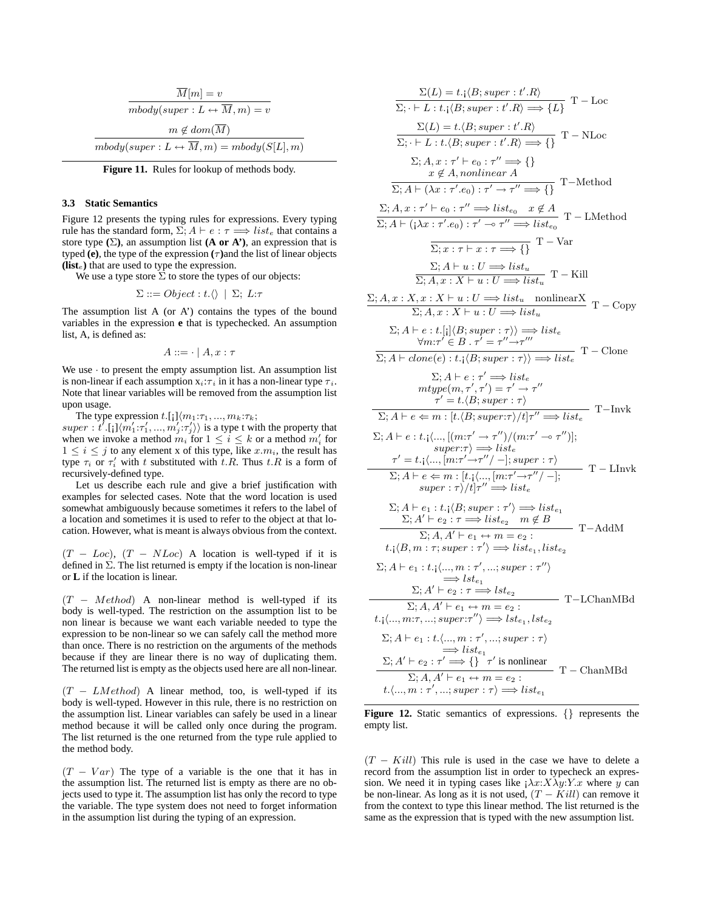| $M[m] = v$                                                         |
|--------------------------------------------------------------------|
| $mbody(super: L \leftrightarrow M, m) = v$                         |
| $m \notin dom(M)$                                                  |
| $mbody(super: L \leftrightarrow \overline{M}, m) = mbody(S[L], m)$ |

**Figure 11.** Rules for lookup of methods body.

#### **3.3 Static Semantics**

Figure 12 presents the typing rules for expressions. Every typing rule has the standard form,  $\Sigma$ ;  $A \vdash e : \tau \Longrightarrow list_e$  that contains a store type  $(\Sigma)$ , an assumption list  $(A \text{ or } A')$ , an expression that is typed **(e)**, the type of the expression  $(\tau)$  and the list of linear objects **(list**e**)** that are used to type the expression.

We use a type store  $\Sigma$  to store the types of our objects:

$$
\Sigma ::= Object : t.\langle\rangle \mid \Sigma; L:\tau
$$

The assumption list A (or A') contains the types of the bound variables in the expression **e** that is typechecked. An assumption list, A, is defined as:

$$
A ::= \cdot \mid A, x : \tau
$$

We use  $\cdot$  to present the empty assumption list. An assumption list is non-linear if each assumption  $x_i:\tau_i$  in it has a non-linear type  $\tau_i$ . Note that linear variables will be removed from the assumption list upon usage.

The type expression t.[;] $\langle m_1:\tau_1, ..., m_k:\tau_k;$  $super : t^1.[1]\langle m_1';\tau_1',...,m_j';\tau_j' \rangle$  is a type t with the property that when we invoke a method  $m_i$  for  $1 \leq i \leq k$  or a method  $m'_i$  for  $1 \leq i \leq j$  to any element x of this type, like  $x.m_i$ , the result has type  $\tau_i$  or  $\tau'_i$  with t substituted with t.R. Thus t.R is a form of recursively-defined type.

Let us describe each rule and give a brief justification with examples for selected cases. Note that the word location is used somewhat ambiguously because sometimes it refers to the label of a location and sometimes it is used to refer to the object at that location. However, what is meant is always obvious from the context.

 $(T - Loc)$ ,  $(T - NLoc)$  A location is well-typed if it is defined in  $\Sigma$ . The list returned is empty if the location is non-linear or **L** if the location is linear.

 $(T - Method)$  A non-linear method is well-typed if its body is well-typed. The restriction on the assumption list to be non linear is because we want each variable needed to type the expression to be non-linear so we can safely call the method more than once. There is no restriction on the arguments of the methods because if they are linear there is no way of duplicating them. The returned list is empty as the objects used here are all non-linear.

 $(T - LMethod)$  A linear method, too, is well-typed if its body is well-typed. However in this rule, there is no restriction on the assumption list. Linear variables can safely be used in a linear method because it will be called only once during the program. The list returned is the one returned from the type rule applied to the method body.

 $(T - Var)$  The type of a variable is the one that it has in the assumption list. The returned list is empty as there are no objects used to type it. The assumption list has only the record to type the variable. The type system does not need to forget information in the assumption list during the typing of an expression.

$$
\frac{\Sigma(L) = t_{\cdot} \langle B; super:t', R \rangle}{\Sigma; \cdot \vdash L : t_{\cdot} \langle B; super:t', R \rangle \Longrightarrow \{L\}} \text{ T } - \text{Loc}
$$
\n
$$
\frac{\Sigma(L) = t_{\cdot} \langle B; super:t', R \rangle}{\Sigma; \cdot \vdash L : t_{\cdot} \langle B; super:t', R \rangle \Longrightarrow \{I\}} \text{ T } - \text{NLoc}
$$
\n
$$
\Sigma; A, x : \tau' \vdash e_0 : \tau'' \Longrightarrow \{ \}
$$
\n
$$
x \notin A, nonlinear A
$$
\n
$$
\frac{x}{\Sigma; A \vdash (\lambda x : \tau' \cdot e_0) : \tau' \rightarrow \tau'' \Longrightarrow \{ \}
$$
\nT 
$$
\frac{x}{\Sigma; A \vdash (\lambda x : \tau' \cdot e_0) : \tau' \rightarrow \tau'' \Longrightarrow \text{list}_{e_0} \quad x \notin A \quad \text{T } - \text{LMethod}
$$
\n
$$
\frac{\Sigma; A \vdash (x : \tau' \cdot e_0) : \tau' \rightarrow \tau'' \Longrightarrow \text{list}_{e_0} \quad \text{T } - \text{Var}
$$
\n
$$
\frac{\Sigma; A \vdash u : U \Longrightarrow \text{list}_{u}}{\Sigma; A, x : X \vdash u : U \Longrightarrow \text{list}_{u} \quad \text{T } - \text{Kill}
$$
\n
$$
\frac{\Sigma; A \vdash e : t_{\cdot} \cap (\text{Var} \cdot \tau) \Longrightarrow \text{list}_{e}}{\Sigma; A, x : X \vdash u : U \Longrightarrow \text{list}_{u} \quad \text{nonlinear} \times \text{T } - \text{Copy}
$$
\n
$$
\Sigma; A \vdash e : t_{\cdot} \cap (\text{Var} \cdot \tau) \Longrightarrow \text{list}_{e} \quad \forall m : \tau' \in B \text{ .} \tau' = \tau'' \rightarrow \tau'''
$$
\n
$$
\frac{x}{\Sigma; A \vdash \text{cl.} \left[ \left( B; super: \tau \right) \right) \Longrightarrow \text{list}_{e}} \text{ T } - \text{Clope}
$$
\n
$$
\Sigma; A \vdash e : t_{\cdot} \cap (\text{Var} \tau' \rightarrow \tau'') \Longrightarrow \text{list}_{e} \quad \text{T } - \text{Invk}
$$
\n
$$
\frac{x}{\tau} \leftrightarrow \text{f } e \leftarrow m : [t_{\cdot} \langle B;
$$

Figure 12. Static semantics of expressions.  $\{\}$  represents the empty list.

 $(T - Kill)$  This rule is used in the case we have to delete a record from the assumption list in order to typecheck an expression. We need it in typing cases like  $\lambda x:X\lambda y:Y.x$  where y can be non-linear. As long as it is not used,  $(T - Kill)$  can remove it from the context to type this linear method. The list returned is the same as the expression that is typed with the new assumption list.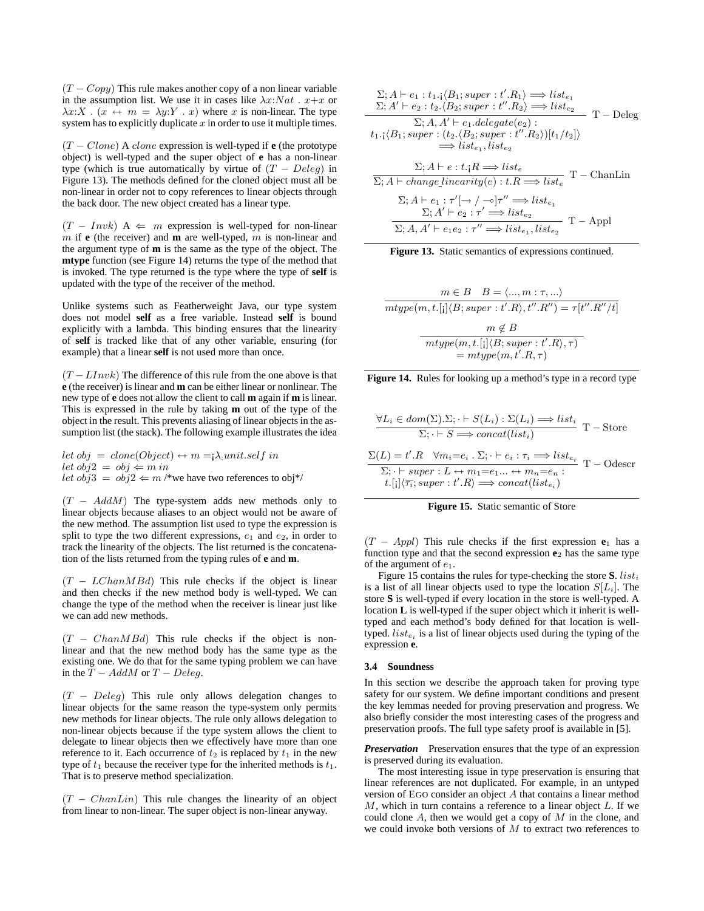$(T - Copy)$  This rule makes another copy of a non linear variable in the assumption list. We use it in cases like  $\lambda x: Nat$ .  $x+x$  or  $\lambda x:X$ .  $(x \leftrightarrow m = \lambda y:Y \cdot x)$  where x is non-linear. The type system has to explicitly duplicate  $x$  in order to use it multiple times.

 $(T - Clone)$  A *clone* expression is well-typed if **e** (the prototype object) is well-typed and the super object of **e** has a non-linear type (which is true automatically by virtue of  $(T - Deleg)$  in Figure 13). The methods defined for the cloned object must all be non-linear in order not to copy references to linear objects through the back door. The new object created has a linear type.

 $(T - Invk)$  A  $\Leftarrow$  m expression is well-typed for non-linear m if **e** (the receiver) and **m** are well-typed, m is non-linear and the argument type of **m** is the same as the type of the object. The **mtype** function (see Figure 14) returns the type of the method that is invoked. The type returned is the type where the type of **self** is updated with the type of the receiver of the method.

Unlike systems such as Featherweight Java, our type system does not model **self** as a free variable. Instead **self** is bound explicitly with a lambda. This binding ensures that the linearity of **self** is tracked like that of any other variable, ensuring (for example) that a linear **self** is not used more than once.

 $(T - LInvk)$  The difference of this rule from the one above is that **e** (the receiver) is linear and **m** can be either linear or nonlinear. The new type of **e** does not allow the client to call **m** again if **m** is linear. This is expressed in the rule by taking **m** out of the type of the object in the result. This prevents aliasing of linear objects in the assumption list (the stack). The following example illustrates the idea

let  $obj = clone(Object) \leftrightarrow m = \lambda: unit.setf in$ let  $obj2 = obj \Leftarrow m$  in let  $obj3 = obj2 \Leftarrow m$  /\*we have two references to obj\*/

 $(T - AddM)$  The type-system adds new methods only to linear objects because aliases to an object would not be aware of the new method. The assumption list used to type the expression is split to type the two different expressions,  $e_1$  and  $e_2$ , in order to track the linearity of the objects. The list returned is the concatenation of the lists returned from the typing rules of **e** and **m**.

 $(T - LChanMBd)$  This rule checks if the object is linear and then checks if the new method body is well-typed. We can change the type of the method when the receiver is linear just like we can add new methods.

 $(T - ChanMBd)$  This rule checks if the object is nonlinear and that the new method body has the same type as the existing one. We do that for the same typing problem we can have in the  $\overline{T}$  – AddM or T – Deleq.

 $(T - Deleg)$  This rule only allows delegation changes to linear objects for the same reason the type-system only permits new methods for linear objects. The rule only allows delegation to non-linear objects because if the type system allows the client to delegate to linear objects then we effectively have more than one reference to it. Each occurrence of  $t_2$  is replaced by  $t_1$  in the new type of  $t_1$  because the receiver type for the inherited methods is  $t_1$ . That is to preserve method specialization.

 $(T - ChanLin)$  This rule changes the linearity of an object from linear to non-linear. The super object is non-linear anyway.

$$
\Sigma; A \vdash e_1 : t_1 \cdot (B_1; super : t'.R_1) \Longrightarrow list_{e_1}
$$
\n
$$
\Sigma; A' \vdash e_2 : t_2 \cdot (B_2; super : t'.R_2) \Longrightarrow list_{e_2}
$$
\n
$$
\Sigma; A, A' \vdash e_1.delegate(e_2) :
$$
\n
$$
t_1 \cdot (B_1; super : (t_2 \cdot (B_2; super : t'.R_2))[t_1/t_2])
$$
\n
$$
\Longrightarrow list_{e_1}, list_{e_2}
$$
\n
$$
\Sigma; A \vdash e : t \cdot R \Longrightarrow list_e
$$
\n
$$
\Sigma; A \vdash change\_linearity(e) : t.R \Longrightarrow list_{e_1}
$$
\n
$$
\Sigma; A \vdash e_2 : \tau' \rightarrow \neg \, \, r'' \Longrightarrow list_{e_1}
$$
\n
$$
\Sigma; A' \vdash e_2 : \tau' \Longrightarrow list_{e_2}
$$
\n
$$
\Sigma; A, A' \vdash e_1 e_2 : \tau'' \Longrightarrow list_{e_1}, list_{e_2}
$$
\n
$$
\Gamma - Appl
$$

| Figure 13. Static semantics of expressions continued. |  |  |  |  |  |  |
|-------------------------------------------------------|--|--|--|--|--|--|
|-------------------------------------------------------|--|--|--|--|--|--|

$$
m \in B \quad B = \langle \dots, m : \tau, \dots \rangle
$$
  
mtype(m, t.[i]{B; super : t'.R}, t''.R") =  $\tau[t''.R''/t]$   

$$
m \notin B
$$
  
mtype(m, t.[i]{B; super : t'.R},  $\tau$ )  
= mtype(m, t'.R,  $\tau$ )



$$
\frac{\forall L_i \in dom(\Sigma). \Sigma; \cdot \vdash S(L_i) : \Sigma(L_i) \Longrightarrow list_i}{\Sigma; \cdot \vdash S \Longrightarrow concat(list_i)} T - \text{Store}
$$
  

$$
\frac{\Sigma(L) = t'.R \quad \forall m_i = e_i \cdot \Sigma; \cdot \vdash e_i : \tau_i \Longrightarrow list_{e_i}}{\Sigma; \cdot \vdash super : L \leftrightarrow m_1 = e_1 \dots \leftrightarrow m_n = e_n} T - \text{Odescr}
$$
  

$$
t.[\text{I}](\overline{\tau_i}; super : t'.R) \Longrightarrow concat(list_{e_i})
$$



 $(T - Appl)$  This rule checks if the first expression  $e_1$  has a function type and that the second expression **e**<sup>2</sup> has the same type of the argument of  $e_1$ .

Figure 15 contains the rules for type-checking the store  $S$ . *list<sub>i</sub>* is a list of all linear objects used to type the location  $S[L_i]$ . The store **S** is well-typed if every location in the store is well-typed. A location **L** is well-typed if the super object which it inherit is welltyped and each method's body defined for that location is welltyped.  $list_{e_i}$  is a list of linear objects used during the typing of the expression **e**.

#### **3.4 Soundness**

In this section we describe the approach taken for proving type safety for our system. We define important conditions and present the key lemmas needed for proving preservation and progress. We also briefly consider the most interesting cases of the progress and preservation proofs. The full type safety proof is available in [5].

*Preservation* Preservation ensures that the type of an expression is preserved during its evaluation.

The most interesting issue in type preservation is ensuring that linear references are not duplicated. For example, in an untyped version of EGO consider an object A that contains a linear method  $M$ , which in turn contains a reference to a linear object  $L$ . If we could clone  $A$ , then we would get a copy of  $M$  in the clone, and we could invoke both versions of  $M$  to extract two references to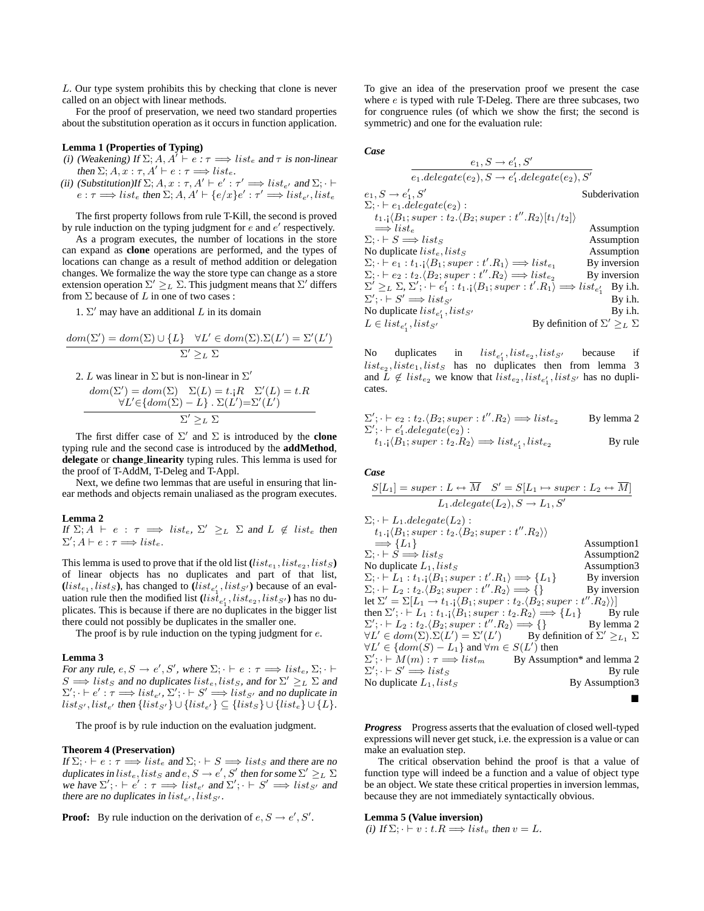L. Our type system prohibits this by checking that clone is never called on an object with linear methods.

For the proof of preservation, we need two standard properties about the substitution operation as it occurs in function application.

## **Lemma 1 (Properties of Typing)**

- (i) (Weakening) If  $\Sigma$ ; A,  $A' \vdash e : \tau \Longrightarrow \text{list}_e$  and  $\tau$  is non-linear then  $\Sigma$ ;  $A, x : \tau$ ,  $A' \vdash e : \tau \Longrightarrow list_e$ .
- (ii) (Substitution)If  $\Sigma$ ;  $A, x : \tau, A' \vdash e' : \tau' \Longrightarrow \text{list}_{e'}$  and  $\Sigma$ ;  $\vdash$  $e: \tau \Longrightarrow \text{list}_e$  then  $\Sigma$ ;  $A, A' \vdash \{e/x\}e' : \tau' \Longrightarrow \text{list}_{e'}, \text{list}_{e'}$

The first property follows from rule T-Kill, the second is proved by rule induction on the typing judgment for  $e$  and  $e'$  respectively.

As a program executes, the number of locations in the store can expand as **clone** operations are performed, and the types of locations can change as a result of method addition or delegation changes. We formalize the way the store type can change as a store extension operation  $\Sigma' \geq_L \Sigma$ . This judgment means that  $\Sigma'$  differs from  $\Sigma$  because of L in one of two cases :

1.  $\Sigma'$  may have an additional L in its domain

$$
dom(\Sigma') = dom(\Sigma) \cup \{L\} \quad \forall L' \in dom(\Sigma). \Sigma(L') = \Sigma'(L')
$$
  

$$
\Sigma' \geq_L \Sigma
$$

2. L was linear in  $\Sigma$  but is non-linear in  $\Sigma'$ 

$$
dom(\Sigma') = dom(\Sigma) \sum (L) = t \cdot {}_{\textbf{i}}R \sum'(L) = t \cdot R
$$
  

$$
\forall L' \in \{dom(\Sigma) - L\} \cdot \Sigma(L') = \Sigma'(L')
$$
  

$$
\Sigma' \geq_L \Sigma
$$

The first differ case of  $\Sigma'$  and  $\Sigma$  is introduced by the **clone** typing rule and the second case is introduced by the **addMethod**, **delegate** or **change linearity** typing rules. This lemma is used for the proof of T-AddM, T-Deleg and T-Appl.

Next, we define two lemmas that are useful in ensuring that linear methods and objects remain unaliased as the program executes.

#### **Lemma 2**

If  $\Sigma; A \vdash e : \tau \implies \text{list}_e, \Sigma' \geq_L \Sigma \text{ and } L \notin \text{list}_e \text{ then}$  $\Sigma'; \dot{A} \vdash e : \tau \Longrightarrow \mathit{list}_e.$ 

This lemma is used to prove that if the old list  $(list_{e_1}, list_{e_2}, list_S)$ of linear objects has no duplicates and part of that list,  $(list_{e_1}, list_S)$ , has changed to  $(list_{e'_1}, list_{S'})$  because of an evaluation rule then the modified list  $(iis\bar{t}_{e'_1}, list_{e_2}, list_{S'})$  has no duplicates. This is because if there are no duplicates in the bigger list there could not possibly be duplicates in the smaller one.

The proof is by rule induction on the typing judgment for  $e$ .

#### **Lemma 3**

For any rule,  $e, S \rightarrow e', S'$ , where  $\Sigma$ ;  $\vdash e : \tau \Longrightarrow \text{list}_e, \Sigma$ ;  $\vdash \vdash$  $S \Longrightarrow$  lists and no duplicates list<sub>e</sub>, lists, and for  $\Sigma' \geq_L \Sigma$  and  $\Sigma';$   $\vdash e' : \tau \Longrightarrow list_{e'}, \Sigma';$   $\vdash S' \Longrightarrow list_{S'}$  and no duplicate in  $list_{S'}, list_{e'}$  then  $\{list_{S'}\} \cup \{list_{e'}\} \subseteq \{list_{S}\} \cup \{list_{e}\} \cup \{L\}.$ 

The proof is by rule induction on the evaluation judgment.

#### **Theorem 4 (Preservation)**

If  $\Sigma$ ;  $\vdash e : \tau \Longrightarrow \text{list}_e$  and  $\Sigma$ ;  $\vdash S \Longrightarrow \text{list}_S$  and there are no duplicates in  $list_e, list_S$  and  $e, S \rightarrow e', S'$  then for some  $\Sigma' \geq_L \Sigma$ we have  $\Sigma'$ ;  $\cdot \vdash e' : \tau \Longrightarrow \text{list}_{e'}$  and  $\Sigma'$ ;  $\cdot \vdash S' \Longrightarrow \text{list}_{S'}$  and there are no duplicates in  $list_{e'}, list_{S'}$ .

**Proof:** By rule induction on the derivation of  $e, S \rightarrow e', S'$ .

To give an idea of the preservation proof we present the case where  $e$  is typed with rule T-Deleg. There are three subcases, two for congruence rules (of which we show the first; the second is symmetric) and one for the evaluation rule:

#### *Case*

$$
\begin{array}{ll}\n & e_1, S \rightarrow e'_1, S' \\
 \hline\n e_1.delegate(e_2), S \rightarrow e'_1.delegate(e_2), S'\n \end{array}\n \quad \begin{array}{ll}\n \text{Subderivation} \\
 \Sigma; \cdot \vdash e_1.delegate(e_2):\n \end{array}\n \quad \begin{array}{ll}\n \text{Subderivation} \\
 \Sigma; \cdot \vdash e_1.delegate(e_2):\n \end{array}\n \quad \begin{array}{ll}\n \text{Subderivation} \\
 \Sigma; \cdot \vdash e_1.delegate(e_2):\n \end{array}\n \quad \begin{array}{ll}\n \text{Subderivation} \\
 \Sigma; \cdot \vdash S \implies list e \\
 \Sigma; \cdot \vdash S \implies list S \\
 \text{Assumption} \\
 \text{Asumption} \\
 \Sigma; \cdot \vdash e_1 : t_1. \exists \{B_1; super : t'.R_1 \} \implies list e_1 \\
 \Sigma; \cdot \vdash e_2 : t_2. \langle B_2; super : t''.R_2 \rangle \implies list e_2 \\
 \text{By inversion} \\
 \Sigma' \geq_L \sum_i \Sigma'; \cdot \vdash e'_1 : t_1. \exists \{B_1; super : t'.R_1 \} \implies list e'_1 \\
 \text{By i.h.} \\
 \Sigma'; \cdot \vdash S' \implies list s' \\
 \text{No duplicate} \\ \text{is} \\ \text{is} \\ \text{Le} \\ \end{array}\n \quad \begin{array}{ll}\n \text{By definition of } \Sigma' \geq_L \Sigma \\
 \text{By definition of } \Sigma' \geq_L \Sigma\n \end{array}
$$

No duplicates in  $list_{e'_1}$ ,  $list_{e_2}$ ,  $list_{S'}$  because if  $list_{e_2}$ ,  $list_{e_1}$ ,  $list_{S}$  has no duplicates then from lemma 3 and  $L \notin \text{list}_{e_2}$  we know that  $\text{list}_{e_2}, \text{list}_{e'_1}, \text{list}_{S'}$  has no duplicates.

$$
\Sigma'; \vdash e_2 : t_2.\langle B_2; super : t''.R_2 \rangle \Longrightarrow list_{e_2} \qquad \text{By lemma 2}
$$
  
\n
$$
\Sigma'; \vdash e'_1.delegate(e_2) : \qquad \qquad t_1.(\{B_1; super : t_2.R_2 \} \Longrightarrow list_{e'_1}, list_{e_2} \qquad \qquad \text{By rule}
$$

## *Case*

$$
S[L_1] = super: L \leftrightarrow \overline{M} \quad S' = S[L_1 \mapsto super: L_2 \leftrightarrow \overline{M}]
$$
  
\n
$$
\Sigma; \quad \vdash L_1. delegate(L_2), S \to L_1, S'
$$
  
\n
$$
\Sigma; \quad \vdash L_1. delegate(L_2):
$$
  
\n
$$
t_1:\langle B_1; super: t_2.\langle B_2; super: t''.R_2 \rangle\rangle
$$
  
\n
$$
\implies \{L_1\}
$$
  
\n
$$
\Sigma; \quad \vdash S \implies lists
$$
  
\nAssumption1  
\n
$$
\Sigma; \quad \vdash S \implies lists
$$
  
\n
$$
\Sigma; \quad \vdash L_1: t_1: \langle B_1; super: t'.R_1 \rangle \implies \{L_1\}
$$
  
\n
$$
\Sigma; \quad \vdash L_2: t_2.\langle B_2; super: t''.R_2 \rangle \implies \{L_1\}
$$
  
\nBy inversion  
\nlet  $\Sigma' = \Sigma[L_1 \to t_1: \langle B_1; super: t_2.B_2; super: t''.R_2 \rangle\rangle$   
\nthen  $\Sigma'; \quad \vdash L_2: t_2.B_2; super: t'.R_2 \rangle \implies \{L_1\}$   
\nBy rule  
\n $\Sigma'; \quad \vdash L_2: t_2.B_2; super: t'.R_2 \rangle \implies \{L_1\}$   
\nBy lemma 2  
\n $\forall L' \in dom(\Sigma). \Sigma(L') = \Sigma'(L')$   
\nBy definition of  $\Sigma' \geq_{L_1} \Sigma$   
\n $\forall L' \in \{dom(S) - L_1\}$  and  $\forall m \in S(L')$  then  
\n $\Sigma'; \quad \vdash M(m): \tau \implies list_m$   
\nBy Assumption\* and lemma 2  
\n $\Sigma'; \quad \vdash S'$   
\nNo duplicate  $L_1$ , *lists*  
\nBy Assumption\* and lemma 2  
\nBy new

*Progress* Progress asserts that the evaluation of closed well-typed expressions will never get stuck, i.e. the expression is a value or can make an evaluation step.

The critical observation behind the proof is that a value of function type will indeed be a function and a value of object type be an object. We state these critical properties in inversion lemmas, because they are not immediately syntactically obvious.

## **Lemma 5 (Value inversion)**

(i) If  $\Sigma$ ;  $\cdot \vdash v : t.R \Longrightarrow list_v$  then  $v = L$ .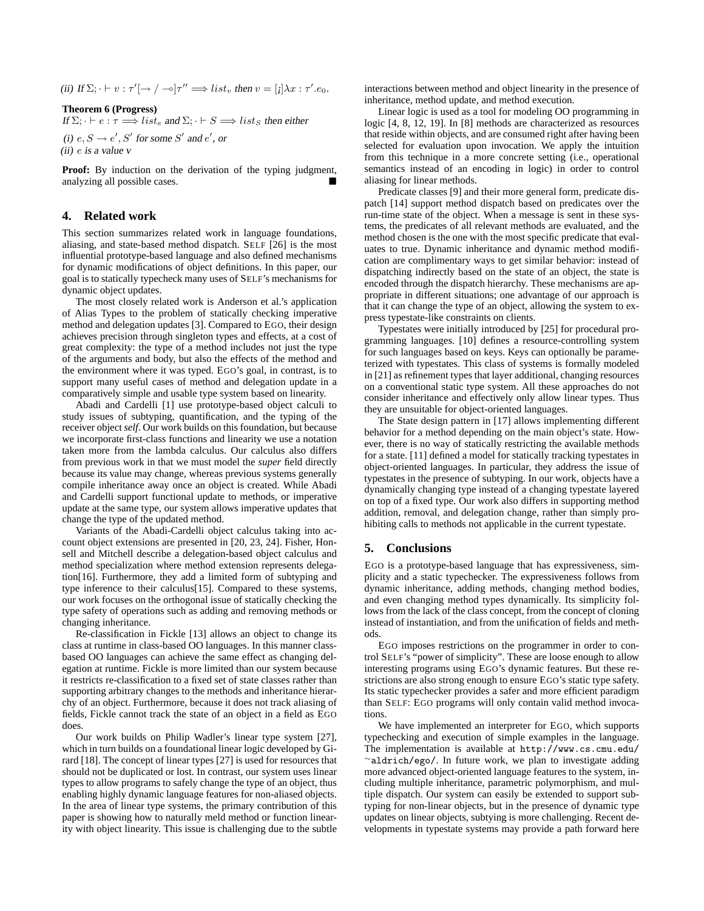(ii) If  $\Sigma$ ;  $\vdash v : \tau'[\rightarrow / \rightarrow] \tau'' \Longrightarrow list_v$  then  $v = [i] \lambda x : \tau'.e_0$ .

**Theorem 6 (Progress)**

If  $\Sigma$ ;  $\vdash e : \tau \Longrightarrow \text{list}_e$  and  $\Sigma$ ;  $\vdash S \Longrightarrow \text{list}_S$  then either

(i)  $e, S \rightarrow e', S'$  for some S' and  $e'$ , or

(ii) e is <sup>a</sup> value <sup>v</sup>

**Proof:** By induction on the derivation of the typing judgment, analyzing all possible cases.

# **4. Related work**

This section summarizes related work in language foundations, aliasing, and state-based method dispatch. SELF [26] is the most influential prototype-based language and also defined mechanisms for dynamic modifications of object definitions. In this paper, our goal is to statically typecheck many uses of SELF's mechanisms for dynamic object updates.

The most closely related work is Anderson et al.'s application of Alias Types to the problem of statically checking imperative method and delegation updates [3]. Compared to EGO, their design achieves precision through singleton types and effects, at a cost of great complexity: the type of a method includes not just the type of the arguments and body, but also the effects of the method and the environment where it was typed. EGO's goal, in contrast, is to support many useful cases of method and delegation update in a comparatively simple and usable type system based on linearity.

Abadi and Cardelli [1] use prototype-based object calculi to study issues of subtyping, quantification, and the typing of the receiver object*self*. Our work builds on this foundation, but because we incorporate first-class functions and linearity we use a notation taken more from the lambda calculus. Our calculus also differs from previous work in that we must model the *super* field directly because its value may change, whereas previous systems generally compile inheritance away once an object is created. While Abadi and Cardelli support functional update to methods, or imperative update at the same type, our system allows imperative updates that change the type of the updated method.

Variants of the Abadi-Cardelli object calculus taking into account object extensions are presented in [20, 23, 24]. Fisher, Honsell and Mitchell describe a delegation-based object calculus and method specialization where method extension represents delegation[16]. Furthermore, they add a limited form of subtyping and type inference to their calculus[15]. Compared to these systems, our work focuses on the orthogonal issue of statically checking the type safety of operations such as adding and removing methods or changing inheritance.

Re-classification in Fickle [13] allows an object to change its class at runtime in class-based OO languages. In this manner classbased OO languages can achieve the same effect as changing delegation at runtime. Fickle is more limited than our system because it restricts re-classification to a fixed set of state classes rather than supporting arbitrary changes to the methods and inheritance hierarchy of an object. Furthermore, because it does not track aliasing of fields, Fickle cannot track the state of an object in a field as EGO does.

Our work builds on Philip Wadler's linear type system [27], which in turn builds on a foundational linear logic developed by Girard [18]. The concept of linear types [27] is used for resources that should not be duplicated or lost. In contrast, our system uses linear types to allow programs to safely change the type of an object, thus enabling highly dynamic language features for non-aliased objects. In the area of linear type systems, the primary contribution of this paper is showing how to naturally meld method or function linearity with object linearity. This issue is challenging due to the subtle

interactions between method and object linearity in the presence of inheritance, method update, and method execution.

Linear logic is used as a tool for modeling OO programming in logic [4, 8, 12, 19]. In [8] methods are characterized as resources that reside within objects, and are consumed right after having been selected for evaluation upon invocation. We apply the intuition from this technique in a more concrete setting (i.e., operational semantics instead of an encoding in logic) in order to control aliasing for linear methods.

Predicate classes [9] and their more general form, predicate dispatch [14] support method dispatch based on predicates over the run-time state of the object. When a message is sent in these systems, the predicates of all relevant methods are evaluated, and the method chosen is the one with the most specific predicate that evaluates to true. Dynamic inheritance and dynamic method modification are complimentary ways to get similar behavior: instead of dispatching indirectly based on the state of an object, the state is encoded through the dispatch hierarchy. These mechanisms are appropriate in different situations; one advantage of our approach is that it can change the type of an object, allowing the system to express typestate-like constraints on clients.

Typestates were initially introduced by [25] for procedural programming languages. [10] defines a resource-controlling system for such languages based on keys. Keys can optionally be parameterized with typestates. This class of systems is formally modeled in [21] as refinement types that layer additional, changing resources on a conventional static type system. All these approaches do not consider inheritance and effectively only allow linear types. Thus they are unsuitable for object-oriented languages.

The State design pattern in [17] allows implementing different behavior for a method depending on the main object's state. However, there is no way of statically restricting the available methods for a state. [11] defined a model for statically tracking typestates in object-oriented languages. In particular, they address the issue of typestates in the presence of subtyping. In our work, objects have a dynamically changing type instead of a changing typestate layered on top of a fixed type. Our work also differs in supporting method addition, removal, and delegation change, rather than simply prohibiting calls to methods not applicable in the current typestate.

# **5. Conclusions**

EGO is a prototype-based language that has expressiveness, simplicity and a static typechecker. The expressiveness follows from dynamic inheritance, adding methods, changing method bodies, and even changing method types dynamically. Its simplicity follows from the lack of the class concept, from the concept of cloning instead of instantiation, and from the unification of fields and methods.

EGO imposes restrictions on the programmer in order to control SELF's "power of simplicity". These are loose enough to allow interesting programs using EGO's dynamic features. But these restrictions are also strong enough to ensure EGO's static type safety. Its static typechecker provides a safer and more efficient paradigm than SELF: EGO programs will only contain valid method invocations.

We have implemented an interpreter for EGO, which supports typechecking and execution of simple examples in the language. The implementation is available at http://www.cs.cmu.edu/ <sup>∼</sup>aldrich/ego/. In future work, we plan to investigate adding more advanced object-oriented language features to the system, including multiple inheritance, parametric polymorphism, and multiple dispatch. Our system can easily be extended to support subtyping for non-linear objects, but in the presence of dynamic type updates on linear objects, subtying is more challenging. Recent developments in typestate systems may provide a path forward here